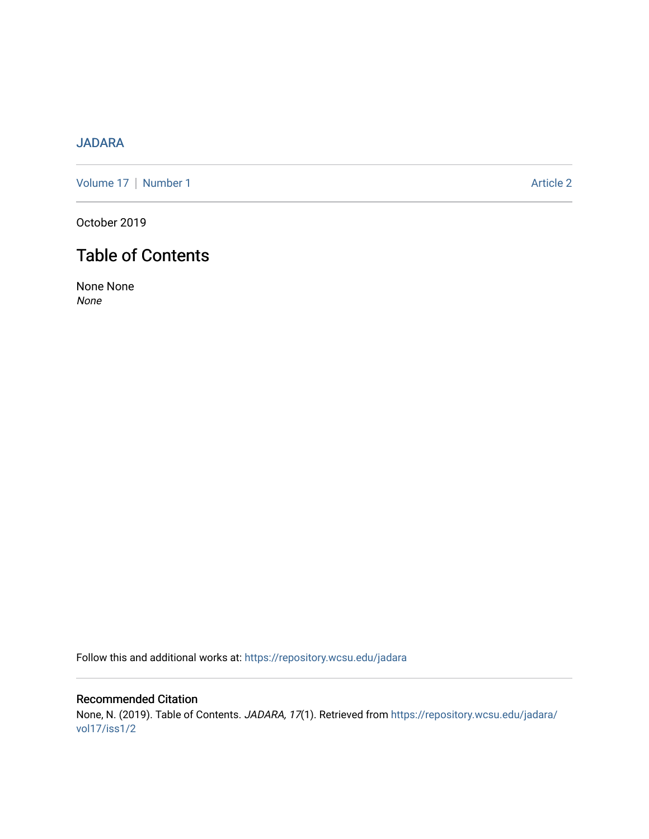## [JADARA](https://repository.wcsu.edu/jadara)

[Volume 17](https://repository.wcsu.edu/jadara/vol17) | [Number 1](https://repository.wcsu.edu/jadara/vol17/iss1) Article 2

October 2019

# Table of Contents

None None None

Follow this and additional works at: [https://repository.wcsu.edu/jadara](https://repository.wcsu.edu/jadara?utm_source=repository.wcsu.edu%2Fjadara%2Fvol17%2Fiss1%2F2&utm_medium=PDF&utm_campaign=PDFCoverPages)

Recommended Citation None, N. (2019). Table of Contents. JADARA, 17(1). Retrieved from [https://repository.wcsu.edu/jadara/](https://repository.wcsu.edu/jadara/vol17/iss1/2?utm_source=repository.wcsu.edu%2Fjadara%2Fvol17%2Fiss1%2F2&utm_medium=PDF&utm_campaign=PDFCoverPages) [vol17/iss1/2](https://repository.wcsu.edu/jadara/vol17/iss1/2?utm_source=repository.wcsu.edu%2Fjadara%2Fvol17%2Fiss1%2F2&utm_medium=PDF&utm_campaign=PDFCoverPages)